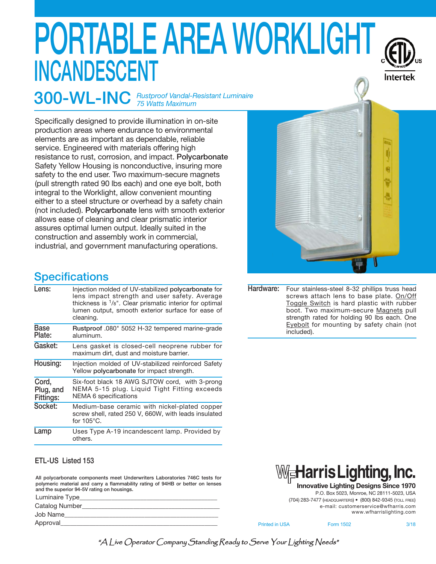# **PORTABLE AREA WORKLIGHT INCANDESCENT**



**300-WL-INC** *Rustproof Vandal-Resistant Luminaire 75 Watts Maximum*

Specifically designed to provide illumination in on-site production areas where endurance to environmental elements are as important as dependable, reliable service. Engineered with materials offering high resistance to rust, corrosion, and impact. **Polycarbonate** Safety Yellow Housing is nonconductive, insuring more safety to the end user. Two maximum-secure magnets (pull strength rated 90 lbs each) and one eye bolt, both integral to the Worklight, allow convenient mounting either to a steel structure or overhead by a safety chain (not included). **Polycarbonate** lens with smooth exterior allows ease of cleaning and clear prismatic interior assures optimal lumen output. Ideally suited in the construction and assembly work in commercial, industrial, and government manufacturing operations.

### **Specifications**

| Lens:<br>cleaning.<br>Base<br>Plate:<br>aluminum.<br>Gasket:<br>maximum dirt, dust and moisture barrier.<br>Housing:<br>Yellow polycarbonate for impact strength.<br>Cord,<br>Plug, and<br>NEMA 6 specifications<br>Fittings:<br>Socket:<br>for $105^{\circ}$ C.<br>Lamp<br>others. |                                                                                                                                                                                                                                 |
|-------------------------------------------------------------------------------------------------------------------------------------------------------------------------------------------------------------------------------------------------------------------------------------|---------------------------------------------------------------------------------------------------------------------------------------------------------------------------------------------------------------------------------|
|                                                                                                                                                                                                                                                                                     | Injection molded of UV-stabilized polycarbonate for<br>lens impact strength and user safety. Average<br>thickness is $\frac{1}{8}$ ". Clear prismatic interior for optimal<br>lumen output, smooth exterior surface for ease of |
|                                                                                                                                                                                                                                                                                     | Rustproof .080" 5052 H-32 tempered marine-grade                                                                                                                                                                                 |
|                                                                                                                                                                                                                                                                                     | Lens gasket is closed-cell neoprene rubber for                                                                                                                                                                                  |
|                                                                                                                                                                                                                                                                                     | Injection molded of UV-stabilized reinforced Safety                                                                                                                                                                             |
|                                                                                                                                                                                                                                                                                     | Six-foot black 18 AWG SJTOW cord, with 3-prong<br>NEMA 5-15 plug. Liquid Tight Fitting exceeds                                                                                                                                  |
|                                                                                                                                                                                                                                                                                     | Medium-base ceramic with nickel-plated copper<br>screw shell, rated 250 V, 660W, with leads insulated                                                                                                                           |
|                                                                                                                                                                                                                                                                                     | Uses Type A-19 incandescent lamp. Provided by                                                                                                                                                                                   |

#### **ETL-US Listed 153**

**All polycarbonate components meet Underwriters Laboratories 746C tests for polymeric material and carry a flammability rating of 94HB or better on lenses and the superior 94-5V rating on housings.**

Luminaire Type Catalog Number

Job Name\_\_\_\_\_\_\_\_\_\_\_\_\_\_\_\_\_\_\_\_\_\_\_\_\_\_\_\_\_\_\_\_\_\_\_\_\_\_\_\_\_\_\_\_\_\_\_\_

Approval





**Innovative Lighting Designs Since 1970**

P.O. Box 5023, Monroe, NC 28111-5023, USA (704) 283-7477 (HEADQUARTERS) • (800) 842-9345 (TOLL FREE) e-mail: customerservice@wfharris.com www.wfharrislighting.com

Printed in USA Form 1502 3/18

"A Live Operator Company Standing Ready to Serve Your Lighting Needs"